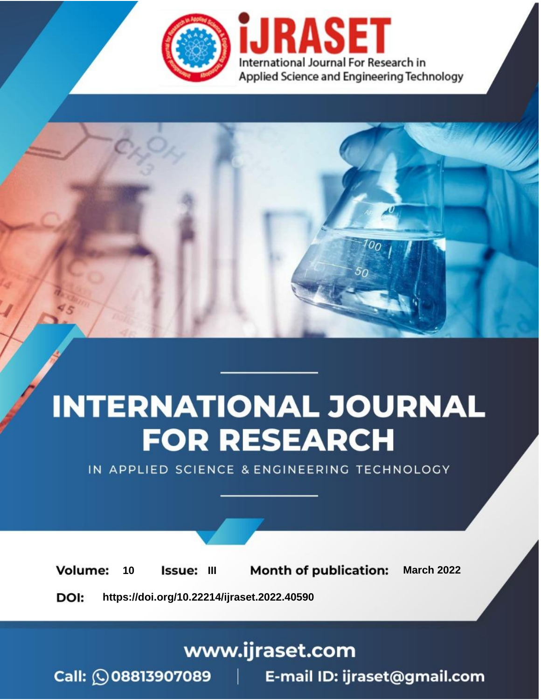

# **INTERNATIONAL JOURNAL FOR RESEARCH**

IN APPLIED SCIENCE & ENGINEERING TECHNOLOGY

10 **Issue: III Month of publication:** March 2022 **Volume:** 

**https://doi.org/10.22214/ijraset.2022.40590**DOI:

www.ijraset.com

Call: 008813907089 | E-mail ID: ijraset@gmail.com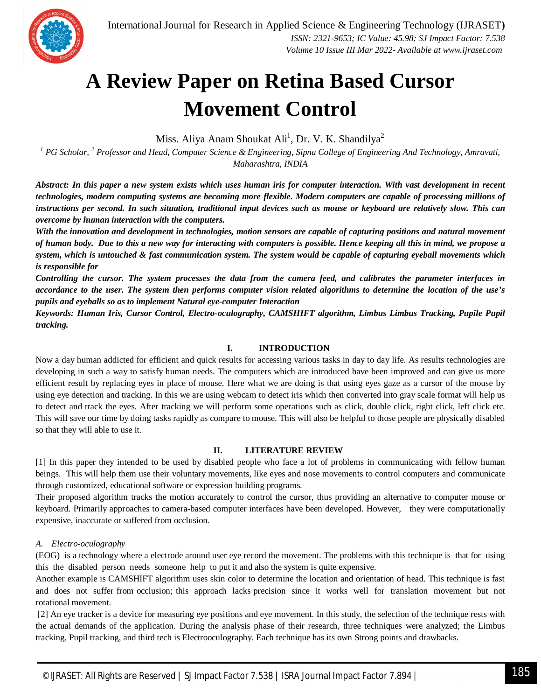

### **A Review Paper on Retina Based Cursor Movement Control**

Miss. Aliya Anam Shoukat Ali<sup>1</sup>, Dr. V. K. Shandilya<sup>2</sup>

*<sup>1</sup> PG Scholar, <sup>2</sup> Professor and Head, Computer Science & Engineering, Sipna College of Engineering And Technology, Amravati, Maharashtra, INDIA*

*Abstract: In this paper a new system exists which uses human iris for computer interaction. With vast development in recent technologies, modern computing systems are becoming more flexible. Modern computers are capable of processing millions of instructions per second. In such situation, traditional input devices such as mouse or keyboard are relatively slow. This can overcome by human interaction with the computers.* 

*With the innovation and development in technologies, motion sensors are capable of capturing positions and natural movement of human body. Due to this a new way for interacting with computers is possible. Hence keeping all this in mind, we propose a system, which is untouched & fast communication system. The system would be capable of capturing eyeball movements which is responsible for* 

*Controlling the cursor. The system processes the data from the camera feed, and calibrates the parameter interfaces in accordance to the user. The system then performs computer vision related algorithms to determine the location of the use's pupils and eyeballs so as to implement Natural eye-computer Interaction*

*Keywords: Human Iris, Cursor Control, Electro-oculography, CAMSHIFT algorithm, Limbus Limbus Tracking, Pupile Pupil tracking.*

#### **I. INTRODUCTION**

Now a day human addicted for efficient and quick results for accessing various tasks in day to day life. As results technologies are developing in such a way to satisfy human needs. The computers which are introduced have been improved and can give us more efficient result by replacing eyes in place of mouse. Here what we are doing is that using eyes gaze as a cursor of the mouse by using eye detection and tracking. In this we are using webcam to detect iris which then converted into gray scale format will help us to detect and track the eyes. After tracking we will perform some operations such as click, double click, right click, left click etc. This will save our time by doing tasks rapidly as compare to mouse. This will also be helpful to those people are physically disabled so that they will able to use it.

#### **II. LITERATURE REVIEW**

[1] In this paper they intended to be used by disabled people who face a lot of problems in communicating with fellow human beings. This will help them use their voluntary movements, like eyes and nose movements to control computers and communicate through customized, educational software or expression building programs.

Their proposed algorithm tracks the motion accurately to control the cursor, thus providing an alternative to computer mouse or keyboard. Primarily approaches to camera-based computer interfaces have been developed. However, they were computationally expensive, inaccurate or suffered from occlusion.

#### *A. Electro-oculography*

(EOG) is a technology where a electrode around user eye record the movement. The problems with this technique is that for using this the disabled person needs someone help to put it and also the system is quite expensive.

Another example is CAMSHIFT algorithm uses skin color to determine the location and orientation of head. This technique is fast and does not suffer from occlusion; this approach lacks precision since it works well for translation movement but not rotational movement.

[2] An eye tracker is a device for measuring eye positions and eye movement. In this study, the selection of the technique rests with the actual demands of the application. During the analysis phase of their research, three techniques were analyzed; the Limbus tracking, Pupil tracking, and third tech is Electrooculography. Each technique has its own Strong points and drawbacks.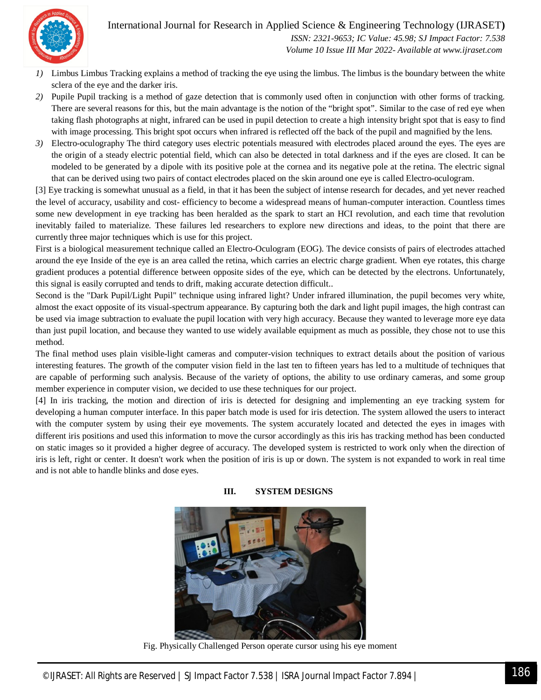



 *ISSN: 2321-9653; IC Value: 45.98; SJ Impact Factor: 7.538 Volume 10 Issue III Mar 2022- Available at www.ijraset.com*

- *1)* Limbus Limbus Tracking explains a method of tracking the eye using the limbus. The limbus is the boundary between the white sclera of the eye and the darker iris.
- *2)* Pupile Pupil tracking is a method of gaze detection that is commonly used often in conjunction with other forms of tracking. There are several reasons for this, but the main advantage is the notion of the "bright spot". Similar to the case of red eye when taking flash photographs at night, infrared can be used in pupil detection to create a high intensity bright spot that is easy to find with image processing. This bright spot occurs when infrared is reflected off the back of the pupil and magnified by the lens.
- *3)* Electro-oculography The third category uses electric potentials measured with electrodes placed around the eyes. The eyes are the origin of a steady electric potential field, which can also be detected in total darkness and if the eyes are closed. It can be modeled to be generated by a dipole with its positive pole at the cornea and its negative pole at the retina. The electric signal that can be derived using two pairs of contact electrodes placed on the skin around one eye is called Electro-oculogram.

[3] Eye tracking is somewhat unusual as a field, in that it has been the subject of intense research for decades, and yet never reached the level of accuracy, usability and cost- efficiency to become a widespread means of human-computer interaction. Countless times some new development in eye tracking has been heralded as the spark to start an HCI revolution, and each time that revolution inevitably failed to materialize. These failures led researchers to explore new directions and ideas, to the point that there are currently three major techniques which is use for this project.

First is a biological measurement technique called an Electro-Oculogram (EOG). The device consists of pairs of electrodes attached around the eye Inside of the eye is an area called the retina, which carries an electric charge gradient. When eye rotates, this charge gradient produces a potential difference between opposite sides of the eye, which can be detected by the electrons. Unfortunately, this signal is easily corrupted and tends to drift, making accurate detection difficult..

Second is the "Dark Pupil/Light Pupil" technique using infrared light? Under infrared illumination, the pupil becomes very white, almost the exact opposite of its visual-spectrum appearance. By capturing both the dark and light pupil images, the high contrast can be used via image subtraction to evaluate the pupil location with very high accuracy. Because they wanted to leverage more eye data than just pupil location, and because they wanted to use widely available equipment as much as possible, they chose not to use this method.

The final method uses plain visible-light cameras and computer-vision techniques to extract details about the position of various interesting features. The growth of the computer vision field in the last ten to fifteen years has led to a multitude of techniques that are capable of performing such analysis. Because of the variety of options, the ability to use ordinary cameras, and some group member experience in computer vision, we decided to use these techniques for our project.

[4] In iris tracking, the motion and direction of iris is detected for designing and implementing an eye tracking system for developing a human computer interface. In this paper batch mode is used for iris detection. The system allowed the users to interact with the computer system by using their eye movements. The system accurately located and detected the eyes in images with different iris positions and used this information to move the cursor accordingly as this iris has tracking method has been conducted on static images so it provided a higher degree of accuracy. The developed system is restricted to work only when the direction of iris is left, right or center. It doesn't work when the position of iris is up or down. The system is not expanded to work in real time and is not able to handle blinks and dose eyes.



**III. SYSTEM DESIGNS**

Fig. Physically Challenged Person operate cursor using his eye moment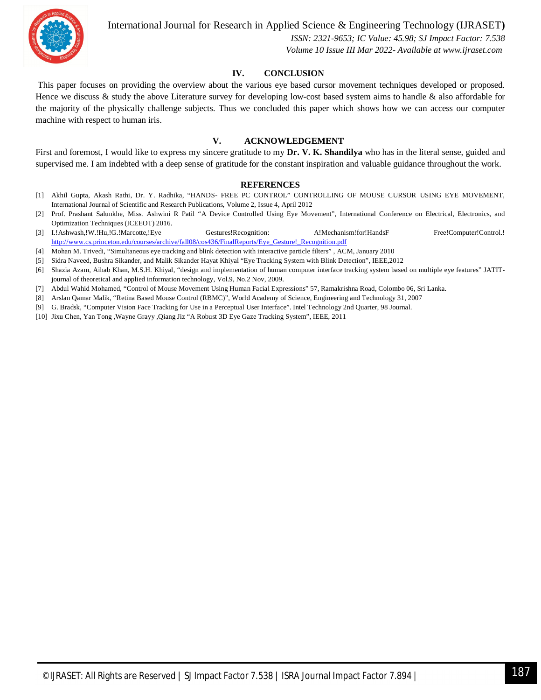

International Journal for Research in Applied Science & Engineering Technology (IJRASET**)**

 *ISSN: 2321-9653; IC Value: 45.98; SJ Impact Factor: 7.538 Volume 10 Issue III Mar 2022- Available at www.ijraset.com*

#### **IV. CONCLUSION**

This paper focuses on providing the overview about the various eye based cursor movement techniques developed or proposed. Hence we discuss & study the above Literature survey for developing low-cost based system aims to handle & also affordable for the majority of the physically challenge subjects. Thus we concluded this paper which shows how we can access our computer machine with respect to human iris.

#### **V. ACKNOWLEDGEMENT**

First and foremost, I would like to express my sincere gratitude to my **Dr. V. K. Shandilya** who has in the literal sense, guided and supervised me. I am indebted with a deep sense of gratitude for the constant inspiration and valuable guidance throughout the work.

#### **REFERENCES**

- [1] Akhil Gupta, Akash Rathi, Dr. Y. Radhika, "HANDS- FREE PC CONTROL" CONTROLLING OF MOUSE CURSOR USING EYE MOVEMENT, International Journal of Scientific and Research Publications, Volume 2, Issue 4, April 2012
- [2] Prof. Prashant Salunkhe, Miss. Ashwini R Patil "A Device Controlled Using Eye Movement", International Conference on Electrical, Electronics, and Optimization Techniques (ICEEOT) 2016.
- [3] I.!Ashwash,!W.!Hu,!G.!Marcotte,!Eye Gestures!Recognition: A!Mechanism!for!HandsF Free!Computer!Control.! http://www.cs.princeton.edu/courses/archive/fall08/cos436/FinalReports/Eye\_Gesture!\_Recognition.pdf
- [4] Mohan M. Trivedi, "Simultaneous eye tracking and blink detection with interactive particle filters" , ACM, January 2010
- [5] Sidra Naveed, Bushra Sikander, and Malik Sikander Hayat Khiyal "Eye Tracking System with Blink Detection", IEEE,2012
- [6] Shazia Azam, Aihab Khan, M.S.H. Khiyal, "design and implementation of human computer interface tracking system based on multiple eye features" JATIT‐ journal of theoretical and applied information technology, Vol.9, No.2 Nov, 2009.
- [7] Abdul Wahid Mohamed, "Control of Mouse Movement Using Human Facial Expressions" 57, Ramakrishna Road, Colombo 06, Sri Lanka.
- [8] Arslan Qamar Malik, "Retina Based Mouse Control (RBMC)", World Academy of Science, Engineering and Technology 31, 2007
- [9] G. Bradsk, "Computer Vision Face Tracking for Use in a Perceptual User Interface". Intel Technology 2nd Quarter, 98 Journal.
- [10] Jixu Chen, Yan Tong ,Wayne Grayy ,Qiang Jiz "A Robust 3D Eye Gaze Tracking System", IEEE, 2011